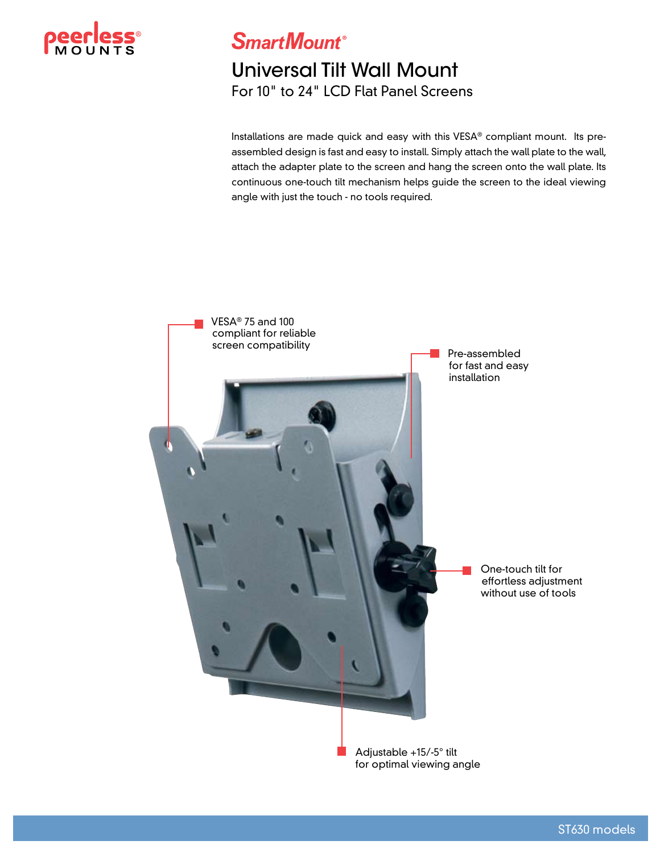

**SmartMount**®

## Universal Tilt Wall Mount For 10" to 24" LCD Flat Panel Screens

Installations are made quick and easy with this VESA® compliant mount. Its preassembled design is fast and easy to install. Simply attach the wall plate to the wall, attach the adapter plate to the screen and hang the screen onto the wall plate. Its continuous one-touch tilt mechanism helps guide the screen to the ideal viewing angle with just the touch - no tools required.



for optimal viewing angle